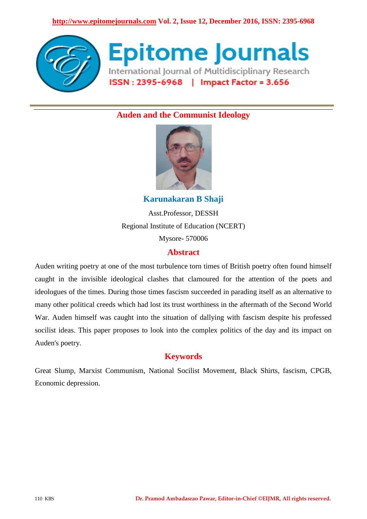

**Epitome Journals** International Journal of Multidisciplinary Research ISSN: 2395-6968 | Impact Factor = 3.656

# **Auden and the Communist Ideology**



**Karunakaran B Shaji** Asst.Professor, DESSH Regional Institute of Education (NCERT) Mysore- 570006

### **Abstract**

Auden writing poetry at one of the most turbulence torn times of British poetry often found himself caught in the invisible ideological clashes that clamoured for the attention of the poets and ideologues of the times. During those times fascism succeeded in parading itself as an alternative to many other political creeds which had lost its trust worthiness in the aftermath of the Second World War. Auden himself was caught into the situation of dallying with fascism despite his professed socilist ideas. This paper proposes to look into the complex politics of the day and its impact on Auden's poetry.

# **Keywords**

Great Slump, Marxist Communism, National Socilist Movement, Black Shirts, fascism, CPGB, Economic depression.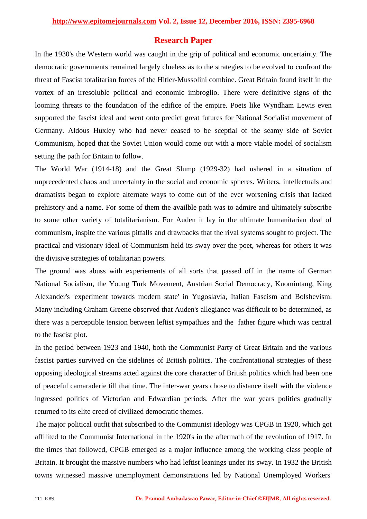### **Research Paper**

In the 1930's the Western world was caught in the grip of political and economic uncertainty. The democratic governments remained largely clueless as to the strategies to be evolved to confront the threat of Fascist totalitarian forces of the Hitler-Mussolini combine. Great Britain found itself in the vortex of an irresoluble political and economic imbroglio. There were definitive signs of the looming threats to the foundation of the edifice of the empire. Poets like Wyndham Lewis even supported the fascist ideal and went onto predict great futures for National Socialist movement of Germany. Aldous Huxley who had never ceased to be sceptial of the seamy side of Soviet Communism, hoped that the Soviet Union would come out with a more viable model of socialism setting the path for Britain to follow.

The World War (1914-18) and the Great Slump (1929-32) had ushered in a situation of unprecedented chaos and uncertainty in the social and economic spheres. Writers, intellectuals and dramatists began to explore alternate ways to come out of the ever worsening crisis that lacked prehistory and a name. For some of them the availble path was to admire and ultimately subscribe to some other variety of totalitarianism. For Auden it lay in the ultimate humanitarian deal of communism, inspite the various pitfalls and drawbacks that the rival systems sought to project. The practical and visionary ideal of Communism held its sway over the poet, whereas for others it was the divisive strategies of totalitarian powers.

The ground was abuss with experiements of all sorts that passed off in the name of German National Socialism, the Young Turk Movement, Austrian Social Democracy, Kuomintang, King Alexander's 'experiment towards modern state' in Yugoslavia, Italian Fascism and Bolshevism. Many including Graham Greene observed that Auden's allegiance was difficult to be determined, as there was a perceptible tension between leftist sympathies and the father figure which was central to the fascist plot.

In the period between 1923 and 1940, both the Communist Party of Great Britain and the various fascist parties survived on the sidelines of British politics. The confrontational strategies of these opposing ideological streams acted against the core character of British politics which had been one of peaceful camaraderie till that time. The inter-war years chose to distance itself with the violence ingressed politics of Victorian and Edwardian periods. After the war years politics gradually returned to its elite creed of civilized democratic themes.

The major political outfit that subscribed to the Communist ideology was CPGB in 1920, which got affilited to the Communist International in the 1920's in the aftermath of the revolution of 1917. In the times that followed, CPGB emerged as a major influence among the working class people of Britain. It brought the massive numbers who had leftist leanings under its sway. In 1932 the British towns witnessed massive unemployment demonstrations led by National Unemployed Workers'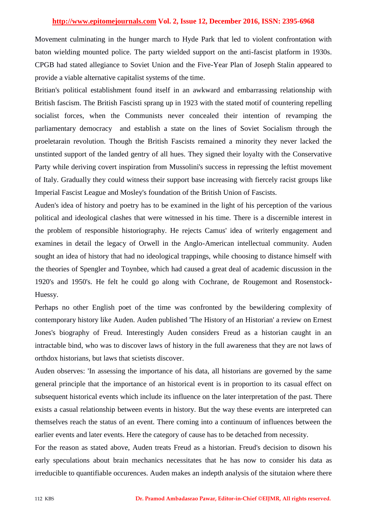Movement culminating in the hunger march to Hyde Park that led to violent confrontation with baton wielding mounted police. The party wielded support on the anti-fascist platform in 1930s. CPGB had stated allegiance to Soviet Union and the Five-Year Plan of Joseph Stalin appeared to provide a viable alternative capitalist systems of the time.

Britian's political establishment found itself in an awkward and embarrassing relationship with British fascism. The British Fascisti sprang up in 1923 with the stated motif of countering repelling socialist forces, when the Communists never concealed their intention of revamping the parliamentary democracy and establish a state on the lines of Soviet Socialism through the proeletarain revolution. Though the British Fascists remained a minority they never lacked the unstinted support of the landed gentry of all hues. They signed their loyalty with the Conservative Party while deriving covert inspiration from Mussolini's success in repressing the leftist movement of Italy. Gradually they could witness their support base increasing with fiercely racist groups like Imperial Fascist League and Mosley's foundation of the British Union of Fascists.

Auden's idea of history and poetry has to be examined in the light of his perception of the various political and ideological clashes that were witnessed in his time. There is a discernible interest in the problem of responsible historiography. He rejects Camus' idea of writerly engagement and examines in detail the legacy of Orwell in the Anglo-American intellectual community. Auden sought an idea of history that had no ideological trappings, while choosing to distance himself with the theories of Spengler and Toynbee, which had caused a great deal of academic discussion in the 1920's and 1950's. He felt he could go along with Cochrane, de Rougemont and Rosenstock-Huessy.

Perhaps no other English poet of the time was confronted by the bewildering complexity of contemporary history like Auden. Auden published 'The History of an Historian' a review on Ernest Jones's biography of Freud. Interestingly Auden considers Freud as a historian caught in an intractable bind, who was to discover laws of history in the full awareness that they are not laws of orthdox historians, but laws that scietists discover.

Auden observes: 'In assessing the importance of his data, all historians are governed by the same general principle that the importance of an historical event is in proportion to its casual effect on subsequent historical events which include its influence on the later interpretation of the past. There exists a casual relationship between events in history. But the way these events are interpreted can themselves reach the status of an event. There coming into a continuum of influences between the earlier events and later events. Here the category of cause has to be detached from necessity.

For the reason as stated above, Auden treats Freud as a historian. Freud's decision to disown his early speculations about brain mechanics necessitates that he has now to consider his data as irreducible to quantifiable occurences. Auden makes an indepth analysis of the situtaion where there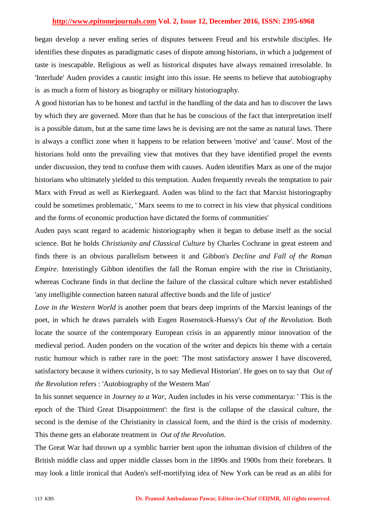began develop a never ending series of disputes between Freud and his erstwhile disciples. He identifies these disputes as paradigmatic cases of dispute among historians, in which a judgement of taste is inescapable. Religious as well as historical disputes have always remained irresolable. In 'Interlude' Auden provides a caustic insight into this issue. He seems to believe that autobiography is as much a form of history as biography or military historiography.

A good historian has to be honest and tactful in the handling of the data and has to discover the laws by which they are governed. More than that he has be conscious of the fact that interpretation itself is a possible datum, but at the same time laws he is devising are not the same as natural laws. There is always a conflict zone when it happens to be relation between 'motive' and 'cause'. Most of the historians hold onto the prevailing view that motives that they have identified propel the events under discussion, they tend to confuse them with causes. Auden identifies Marx as one of the major historians who ultimately yielded to this temptation. Auden frequently reveals the temptation to pair Marx with Freud as well as Kierkegaard. Auden was blind to the fact that Marxist historiography could be sometimes problematic, ' Marx seems to me to correct in his view that physical conditions and the forms of economic production have dictated the forms of communities'

Auden pays scant regard to academic historiography when it began to debase itself as the social science. But he holds *Christianity and Classical Culture* by Charles Cochrane in great esteem and finds there is an obvious parallelism between it and Gibbon's *Decline and Fall of the Roman Empire*. Interistingly Gibbon identifies the fall the Roman empire with the rise in Christianity, whereas Cochrane finds in that decline the failure of the classical culture which never established 'any intelligible connection bateen natural affective bonds and the life of justice'

*Love in the Western World* is another poem that bears deep imprints of the Marxist leanings of the poet, in which he draws parralels with Eugen Rosenstock-Huessy's *Out of the Revolution.* Both locate the source of the contemporary European crisis in an apparently minor innovation of the medieval period. Auden ponders on the vocation of the writer and depicts his theme with a certain rustic humour which is rather rare in the poet: 'The most satisfactory answer I have discovered, satisfactory because it withers curiosity, is to say Medieval Historian'. He goes on to say that *Out of the Revolution* refers : 'Autobiography of the Western Man'

In his sonnet sequence in *Journey to a War*, Auden includes in his verse commentarya: ' This is the epoch of the Third Great Disappointment': the first is the collapse of the classical culture, the second is the demise of the Christianity in classical form, and the third is the crisis of modernity. This theme gets an elaborate treatment in *Out of the Revolution.* 

The Great War had thrown up a symblic barrier bent upon the inhuman division of children of the British middle class and upper middle classes born in the 1890s and 1900s from their forebears. It may look a little ironical that Auden's self-mortifying idea of New York can be read as an alibi for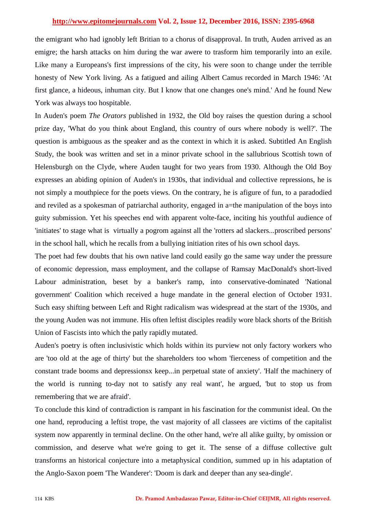the emigrant who had ignobly left Britian to a chorus of disapproval. In truth, Auden arrived as an emigre; the harsh attacks on him during the war awere to trasform him temporarily into an exile. Like many a Europeans's first impressions of the city, his were soon to change under the terrible honesty of New York living. As a fatigued and ailing Albert Camus recorded in March 1946: 'At first glance, a hideous, inhuman city. But I know that one changes one's mind.' And he found New York was always too hospitable.

In Auden's poem *The Orators* published in 1932, the Old boy raises the question during a school prize day, 'What do you think about England, this country of ours where nobody is well?'. The question is ambiguous as the speaker and as the context in which it is asked. Subtitled An English Study, the book was written and set in a minor private school in the sallubrious Scottish town of Helensburgh on the Clyde, where Auden taught for two years from 1930. Although the Old Boy expresses an abiding opinion of Auden's in 1930s, that individual and collective repressions, he is not simply a mouthpiece for the poets views. On the contrary, he is afigure of fun, to a paradodied and reviled as a spokesman of patriarchal authority, engaged in a=the manipulation of the boys into guity submission. Yet his speeches end with apparent volte-face, inciting his youthful audience of 'initiates' to stage what is virtually a pogrom against all the 'rotters ad slackers...proscribed persons' in the school hall, which he recalls from a bullying initiation rites of his own school days.

The poet had few doubts that his own native land could easily go the same way under the pressure of economic depression, mass employment, and the collapse of Ramsay MacDonald's short-lived Labour administration, beset by a banker's ramp, into conservative-dominated 'National government' Coalition which received a huge mandate in the general election of October 1931. Such easy shifting between Left and Right radicalism was widespread at the start of the 1930s, and the young Auden was not immune. His often leftist disciples readily wore black shorts of the British Union of Fascists into which the patly rapidly mutated.

Auden's poetry is often inclusivistic which holds within its purview not only factory workers who are 'too old at the age of thirty' but the shareholders too whom 'fierceness of competition and the constant trade booms and depressionsx keep...in perpetual state of anxiety'. 'Half the machinery of the world is running to-day not to satisfy any real want', he argued, 'but to stop us from remembering that we are afraid'.

To conclude this kind of contradiction is rampant in his fascination for the communist ideal. On the one hand, reproducing a leftist trope, the vast majority of all classees are victims of the capitalist system now apparently in terminal decline. On the other hand, we're all alike guilty, by omission or commission, and deserve what we're going to get it. The sense of a diffuse collective gult transforms an historical conjecture into a metaphysical condition, summed up in his adaptation of the Anglo-Saxon poem 'The Wanderer': 'Doom is dark and deeper than any sea-dingle'.